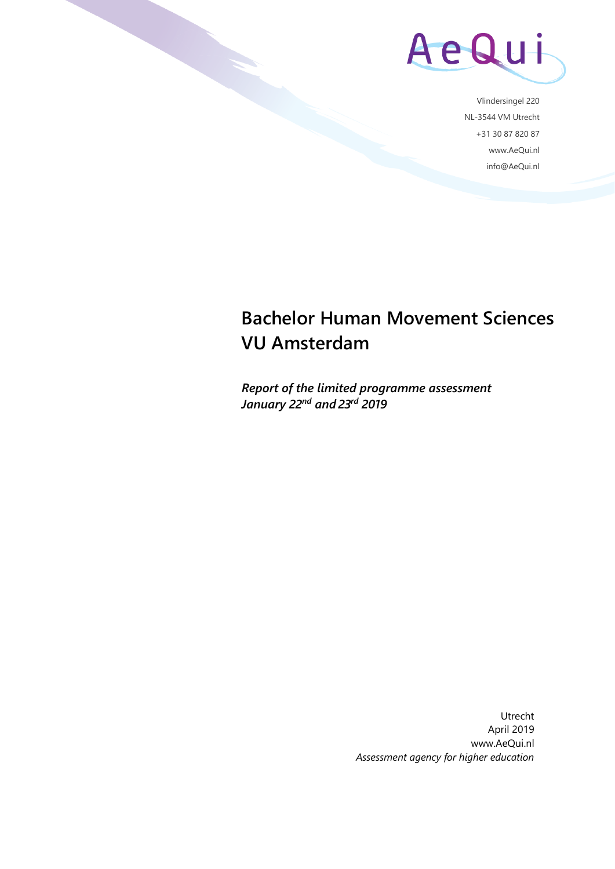

Vlindersingel 220 NL-3544 VM Utrecht +31 30 87 820 87 www.AeQui.nl info@AeQui.nl

# **Bachelor Human Movement Sciences VU Amsterdam**

*Report of the limited programme assessment January 22nd and 23rd 2019*

> Utrecht April 2019 www.AeQui.nl *Assessment agency for higher education*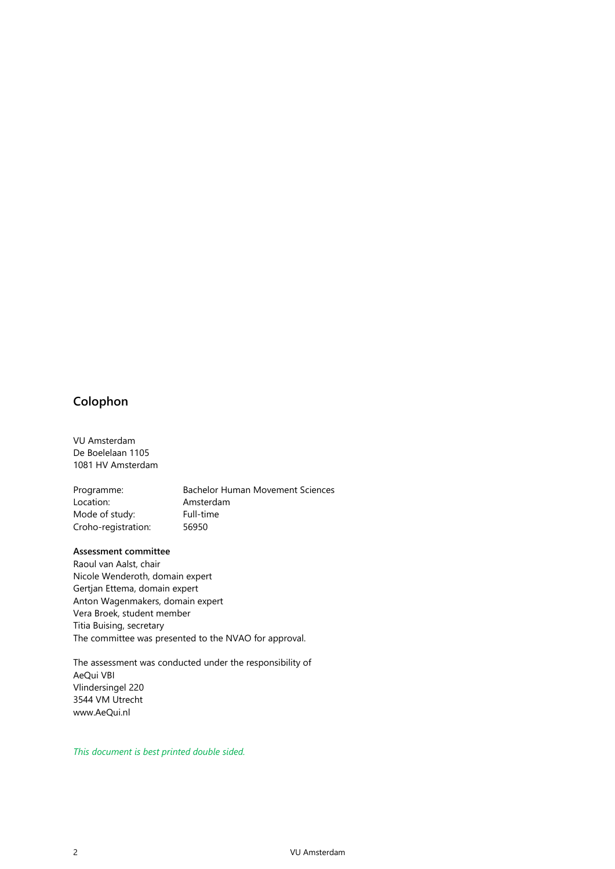### **Colophon**

VU Amsterdam De Boelelaan 1105 1081 HV Amsterdam

Programme: Bachelor Human Movement Sciences Location: Amsterdam Mode of study: Full-time Croho-registration: 56950

#### **Assessment committee**

Raoul van Aalst, chair Nicole Wenderoth, domain expert Gertjan Ettema, domain expert Anton Wagenmakers, domain expert Vera Broek, student member Titia Buising, secretary The committee was presented to the NVAO for approval.

The assessment was conducted under the responsibility of AeQui VBI Vlindersingel 220 3544 VM Utrecht www.AeQui.nl

*This document is best printed double sided.*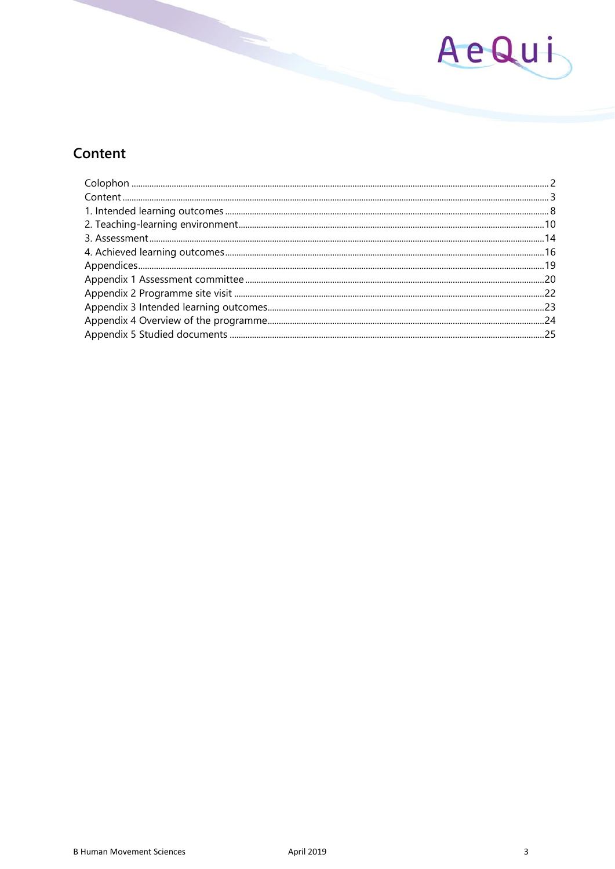

# Content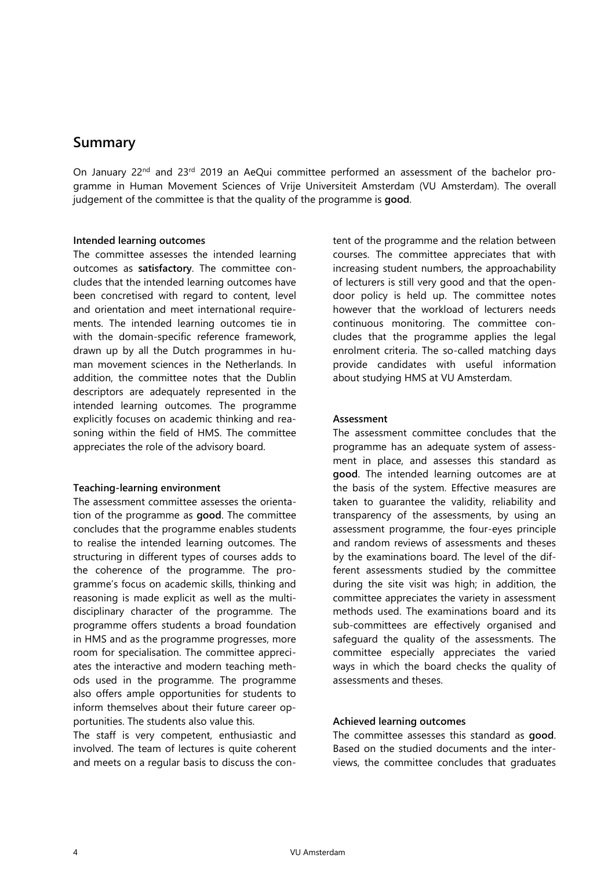### **Summary**

On January 22<sup>nd</sup> and 23<sup>rd</sup> 2019 an AeQui committee performed an assessment of the bachelor programme in Human Movement Sciences of Vrije Universiteit Amsterdam (VU Amsterdam). The overall judgement of the committee is that the quality of the programme is **good**.

#### **Intended learning outcomes**

The committee assesses the intended learning outcomes as **satisfactory**. The committee concludes that the intended learning outcomes have been concretised with regard to content, level and orientation and meet international requirements. The intended learning outcomes tie in with the domain-specific reference framework, drawn up by all the Dutch programmes in human movement sciences in the Netherlands. In addition, the committee notes that the Dublin descriptors are adequately represented in the intended learning outcomes. The programme explicitly focuses on academic thinking and reasoning within the field of HMS. The committee appreciates the role of the advisory board.

#### **Teaching-learning environment**

The assessment committee assesses the orientation of the programme as **good**. The committee concludes that the programme enables students to realise the intended learning outcomes. The structuring in different types of courses adds to the coherence of the programme. The programme's focus on academic skills, thinking and reasoning is made explicit as well as the multidisciplinary character of the programme. The programme offers students a broad foundation in HMS and as the programme progresses, more room for specialisation. The committee appreciates the interactive and modern teaching methods used in the programme. The programme also offers ample opportunities for students to inform themselves about their future career opportunities. The students also value this.

The staff is very competent, enthusiastic and involved. The team of lectures is quite coherent and meets on a regular basis to discuss the content of the programme and the relation between courses. The committee appreciates that with increasing student numbers, the approachability of lecturers is still very good and that the opendoor policy is held up. The committee notes however that the workload of lecturers needs continuous monitoring. The committee concludes that the programme applies the legal enrolment criteria. The so-called matching days provide candidates with useful information about studying HMS at VU Amsterdam.

#### **Assessment**

The assessment committee concludes that the programme has an adequate system of assessment in place, and assesses this standard as **good**. The intended learning outcomes are at the basis of the system. Effective measures are taken to guarantee the validity, reliability and transparency of the assessments, by using an assessment programme, the four-eyes principle and random reviews of assessments and theses by the examinations board. The level of the different assessments studied by the committee during the site visit was high; in addition, the committee appreciates the variety in assessment methods used. The examinations board and its sub-committees are effectively organised and safeguard the quality of the assessments. The committee especially appreciates the varied ways in which the board checks the quality of assessments and theses.

#### **Achieved learning outcomes**

The committee assesses this standard as **good**. Based on the studied documents and the interviews, the committee concludes that graduates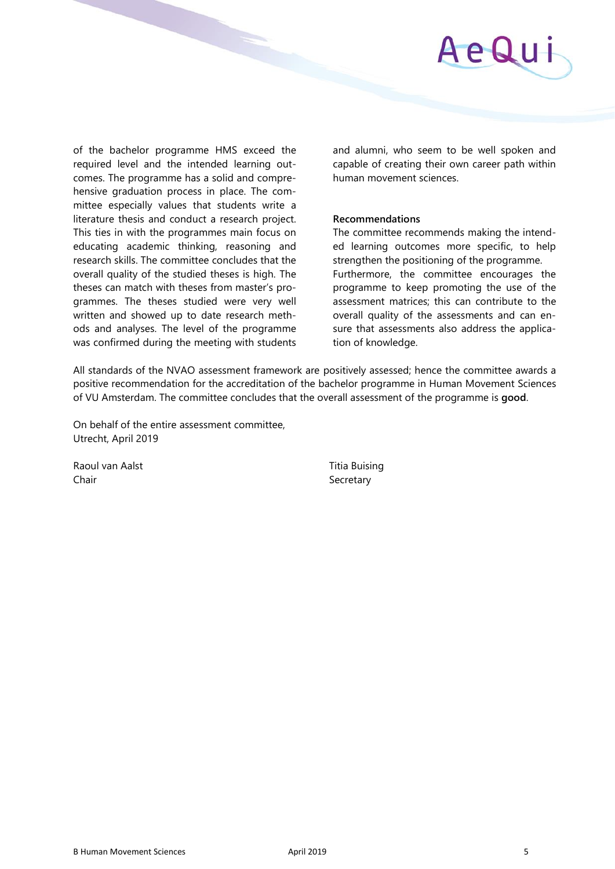

of the bachelor programme HMS exceed the required level and the intended learning outcomes. The programme has a solid and comprehensive graduation process in place. The committee especially values that students write a literature thesis and conduct a research project. This ties in with the programmes main focus on educating academic thinking, reasoning and research skills. The committee concludes that the overall quality of the studied theses is high. The theses can match with theses from master's programmes. The theses studied were very well written and showed up to date research methods and analyses. The level of the programme was confirmed during the meeting with students and alumni, who seem to be well spoken and capable of creating their own career path within human movement sciences.

#### **Recommendations**

The committee recommends making the intended learning outcomes more specific, to help strengthen the positioning of the programme. Furthermore, the committee encourages the programme to keep promoting the use of the assessment matrices; this can contribute to the overall quality of the assessments and can ensure that assessments also address the application of knowledge.

All standards of the NVAO assessment framework are positively assessed; hence the committee awards a positive recommendation for the accreditation of the bachelor programme in Human Movement Sciences of VU Amsterdam. The committee concludes that the overall assessment of the programme is **good**.

On behalf of the entire assessment committee, Utrecht, April 2019

Raoul van Aalst Titia Buising Chair **Secretary** Secretary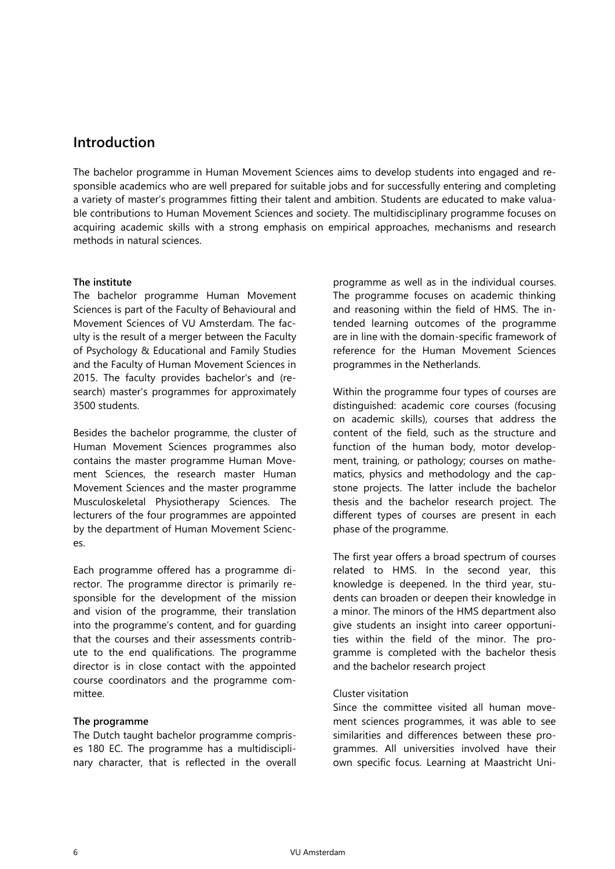## **Introduction**

The bachelor programme in Human Movement Sciences aims to develop students into engaged and responsible academics who are well prepared for suitable jobs and for successfully entering and completing a variety of master's programmes fitting their talent and ambition. Students are educated to make valuable contributions to Human Movement Sciences and society. The multidisciplinary programme focuses on acquiring academic skills with a strong emphasis on empirical approaches, mechanisms and research methods in natural sciences.

#### **The institute**

The bachelor programme Human Movement Sciences is part of the Faculty of Behavioural and Movement Sciences of VU Amsterdam. The faculty is the result of a merger between the Faculty of Psychology & Educational and Family Studies and the Faculty of Human Movement Sciences in 2015. The faculty provides bachelor's and (research) master's programmes for approximately 3500 students.

Besides the bachelor programme, the cluster of Human Movement Sciences programmes also contains the master programme Human Movement Sciences, the research master Human Movement Sciences and the master programme Musculoskeletal Physiotherapy Sciences. The lecturers of the four programmes are appointed by the department of Human Movement Sciences.

Each programme offered has a programme director. The programme director is primarily responsible for the development of the mission and vision of the programme, their translation into the programme's content, and for guarding that the courses and their assessments contribute to the end qualifications. The programme director is in close contact with the appointed course coordinators and the programme committee.

#### **The programme**

The Dutch taught bachelor programme comprises 180 EC. The programme has a multidisciplinary character, that is reflected in the overall programme as well as in the individual courses. The programme focuses on academic thinking and reasoning within the field of HMS. The intended learning outcomes of the programme are in line with the domain-specific framework of reference for the Human Movement Sciences programmes in the Netherlands.

Within the programme four types of courses are distinguished: academic core courses (focusing on academic skills), courses that address the content of the field, such as the structure and function of the human body, motor development, training, or pathology; courses on mathematics, physics and methodology and the capstone projects. The latter include the bachelor thesis and the bachelor research project. The different types of courses are present in each phase of the programme.

The first year offers a broad spectrum of courses related to HMS. In the second year, this knowledge is deepened. In the third year, students can broaden or deepen their knowledge in a minor. The minors of the HMS department also give students an insight into career opportunities within the field of the minor. The programme is completed with the bachelor thesis and the bachelor research project

#### Cluster visitation

Since the committee visited all human movement sciences programmes, it was able to see similarities and differences between these programmes. All universities involved have their own specific focus. Learning at Maastricht Uni-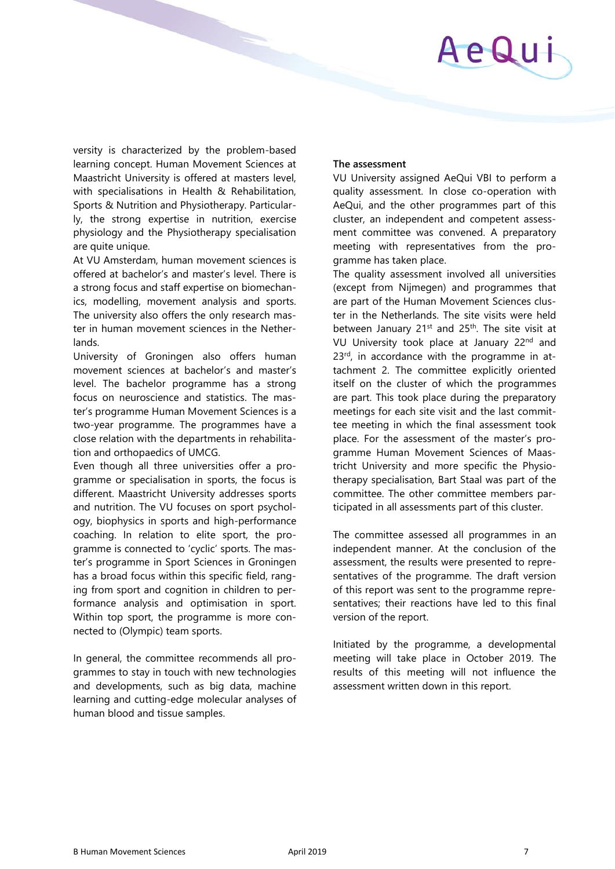AeQui

versity is characterized by the problem-based learning concept. Human Movement Sciences at Maastricht University is offered at masters level, with specialisations in Health & Rehabilitation, Sports & Nutrition and Physiotherapy. Particularly, the strong expertise in nutrition, exercise physiology and the Physiotherapy specialisation are quite unique.

At VU Amsterdam, human movement sciences is offered at bachelor's and master's level. There is a strong focus and staff expertise on biomechanics, modelling, movement analysis and sports. The university also offers the only research master in human movement sciences in the Netherlands.

University of Groningen also offers human movement sciences at bachelor's and master's level. The bachelor programme has a strong focus on neuroscience and statistics. The master's programme Human Movement Sciences is a two-year programme. The programmes have a close relation with the departments in rehabilitation and orthopaedics of UMCG.

Even though all three universities offer a programme or specialisation in sports, the focus is different. Maastricht University addresses sports and nutrition. The VU focuses on sport psychology, biophysics in sports and high-performance coaching. In relation to elite sport, the programme is connected to 'cyclic' sports. The master's programme in Sport Sciences in Groningen has a broad focus within this specific field, ranging from sport and cognition in children to performance analysis and optimisation in sport. Within top sport, the programme is more connected to (Olympic) team sports.

In general, the committee recommends all programmes to stay in touch with new technologies and developments, such as big data, machine learning and cutting-edge molecular analyses of human blood and tissue samples.

#### **The assessment**

VU University assigned AeQui VBI to perform a quality assessment. In close co-operation with AeQui, and the other programmes part of this cluster, an independent and competent assessment committee was convened. A preparatory meeting with representatives from the programme has taken place.

The quality assessment involved all universities (except from Nijmegen) and programmes that are part of the Human Movement Sciences cluster in the Netherlands. The site visits were held between January  $21^{st}$  and  $25^{th}$ . The site visit at VU University took place at January 22<sup>nd</sup> and 23<sup>rd</sup>, in accordance with the programme in attachment 2. The committee explicitly oriented itself on the cluster of which the programmes are part. This took place during the preparatory meetings for each site visit and the last committee meeting in which the final assessment took place. For the assessment of the master's programme Human Movement Sciences of Maastricht University and more specific the Physiotherapy specialisation, Bart Staal was part of the committee. The other committee members participated in all assessments part of this cluster.

The committee assessed all programmes in an independent manner. At the conclusion of the assessment, the results were presented to representatives of the programme. The draft version of this report was sent to the programme representatives; their reactions have led to this final version of the report.

Initiated by the programme, a developmental meeting will take place in October 2019. The results of this meeting will not influence the assessment written down in this report.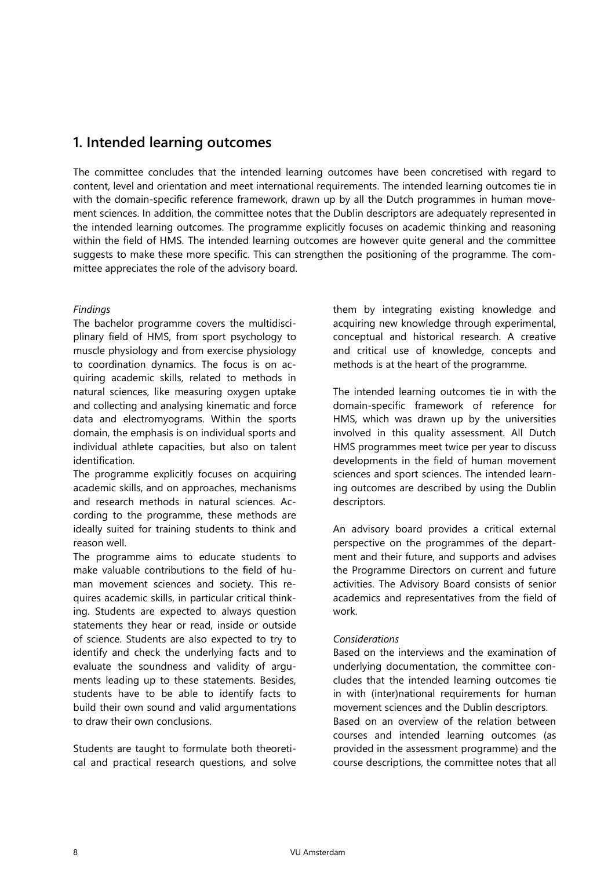## **1. Intended learning outcomes**

The committee concludes that the intended learning outcomes have been concretised with regard to content, level and orientation and meet international requirements. The intended learning outcomes tie in with the domain-specific reference framework, drawn up by all the Dutch programmes in human movement sciences. In addition, the committee notes that the Dublin descriptors are adequately represented in the intended learning outcomes. The programme explicitly focuses on academic thinking and reasoning within the field of HMS. The intended learning outcomes are however quite general and the committee suggests to make these more specific. This can strengthen the positioning of the programme. The committee appreciates the role of the advisory board.

#### *Findings*

The bachelor programme covers the multidisciplinary field of HMS, from sport psychology to muscle physiology and from exercise physiology to coordination dynamics. The focus is on acquiring academic skills, related to methods in natural sciences, like measuring oxygen uptake and collecting and analysing kinematic and force data and electromyograms. Within the sports domain, the emphasis is on individual sports and individual athlete capacities, but also on talent identification.

The programme explicitly focuses on acquiring academic skills, and on approaches, mechanisms and research methods in natural sciences. According to the programme, these methods are ideally suited for training students to think and reason well.

The programme aims to educate students to make valuable contributions to the field of human movement sciences and society. This requires academic skills, in particular critical thinking. Students are expected to always question statements they hear or read, inside or outside of science. Students are also expected to try to identify and check the underlying facts and to evaluate the soundness and validity of arguments leading up to these statements. Besides, students have to be able to identify facts to build their own sound and valid argumentations to draw their own conclusions.

Students are taught to formulate both theoretical and practical research questions, and solve them by integrating existing knowledge and acquiring new knowledge through experimental, conceptual and historical research. A creative and critical use of knowledge, concepts and methods is at the heart of the programme.

The intended learning outcomes tie in with the domain-specific framework of reference for HMS, which was drawn up by the universities involved in this quality assessment. All Dutch HMS programmes meet twice per year to discuss developments in the field of human movement sciences and sport sciences. The intended learning outcomes are described by using the Dublin descriptors.

An advisory board provides a critical external perspective on the programmes of the department and their future, and supports and advises the Programme Directors on current and future activities. The Advisory Board consists of senior academics and representatives from the field of work.

#### *Considerations*

Based on the interviews and the examination of underlying documentation, the committee concludes that the intended learning outcomes tie in with (inter)national requirements for human movement sciences and the Dublin descriptors. Based on an overview of the relation between courses and intended learning outcomes (as

provided in the assessment programme) and the course descriptions, the committee notes that all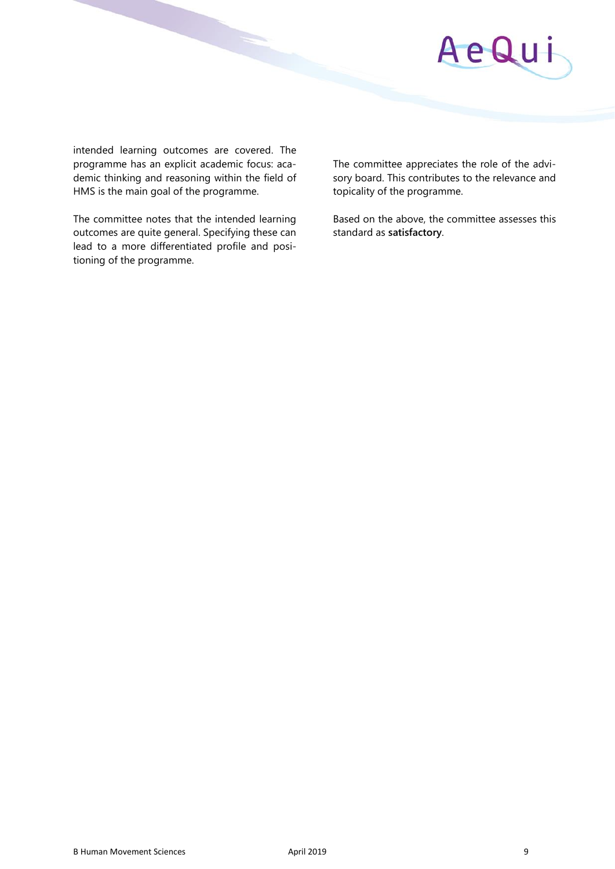

intended learning outcomes are covered. The programme has an explicit academic focus: academic thinking and reasoning within the field of HMS is the main goal of the programme.

The committee notes that the intended learning outcomes are quite general. Specifying these can lead to a more differentiated profile and positioning of the programme.

The committee appreciates the role of the advisory board. This contributes to the relevance and topicality of the programme.

Based on the above, the committee assesses this standard as **satisfactory**.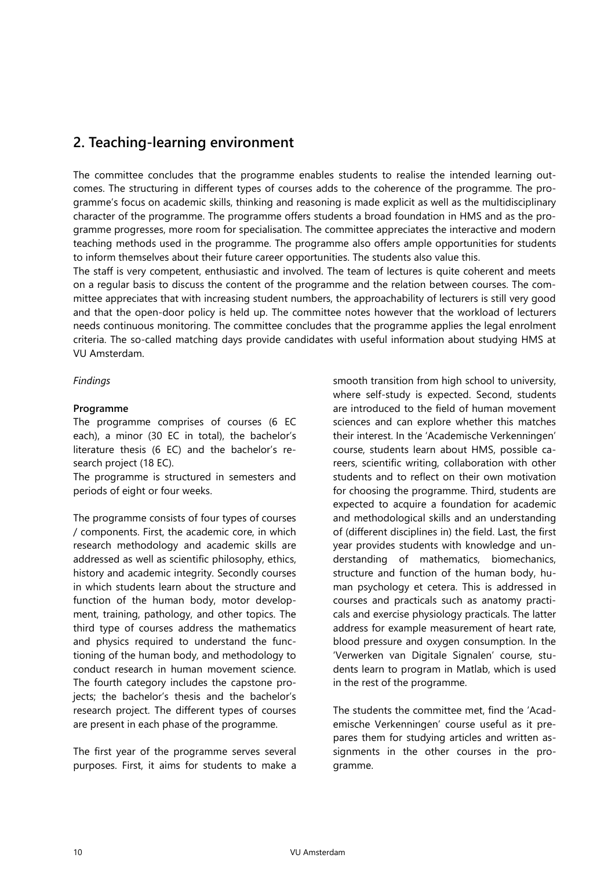## **2. Teaching-learning environment**

The committee concludes that the programme enables students to realise the intended learning outcomes. The structuring in different types of courses adds to the coherence of the programme. The programme's focus on academic skills, thinking and reasoning is made explicit as well as the multidisciplinary character of the programme. The programme offers students a broad foundation in HMS and as the programme progresses, more room for specialisation. The committee appreciates the interactive and modern teaching methods used in the programme. The programme also offers ample opportunities for students to inform themselves about their future career opportunities. The students also value this.

The staff is very competent, enthusiastic and involved. The team of lectures is quite coherent and meets on a regular basis to discuss the content of the programme and the relation between courses. The committee appreciates that with increasing student numbers, the approachability of lecturers is still very good and that the open-door policy is held up. The committee notes however that the workload of lecturers needs continuous monitoring. The committee concludes that the programme applies the legal enrolment criteria. The so-called matching days provide candidates with useful information about studying HMS at VU Amsterdam.

#### *Findings*

#### **Programme**

The programme comprises of courses (6 EC each), a minor (30 EC in total), the bachelor's literature thesis (6 EC) and the bachelor's research project (18 EC).

The programme is structured in semesters and periods of eight or four weeks.

The programme consists of four types of courses / components. First, the academic core, in which research methodology and academic skills are addressed as well as scientific philosophy, ethics, history and academic integrity. Secondly courses in which students learn about the structure and function of the human body, motor development, training, pathology, and other topics. The third type of courses address the mathematics and physics required to understand the functioning of the human body, and methodology to conduct research in human movement science. The fourth category includes the capstone projects; the bachelor's thesis and the bachelor's research project. The different types of courses are present in each phase of the programme.

The first year of the programme serves several purposes. First, it aims for students to make a

smooth transition from high school to university, where self-study is expected. Second, students are introduced to the field of human movement sciences and can explore whether this matches their interest. In the 'Academische Verkenningen' course, students learn about HMS, possible careers, scientific writing, collaboration with other students and to reflect on their own motivation for choosing the programme. Third, students are expected to acquire a foundation for academic and methodological skills and an understanding of (different disciplines in) the field. Last, the first year provides students with knowledge and understanding of mathematics, biomechanics, structure and function of the human body, human psychology et cetera. This is addressed in courses and practicals such as anatomy practicals and exercise physiology practicals. The latter address for example measurement of heart rate, blood pressure and oxygen consumption. In the 'Verwerken van Digitale Signalen' course, students learn to program in Matlab, which is used in the rest of the programme.

The students the committee met, find the 'Academische Verkenningen' course useful as it prepares them for studying articles and written assignments in the other courses in the programme.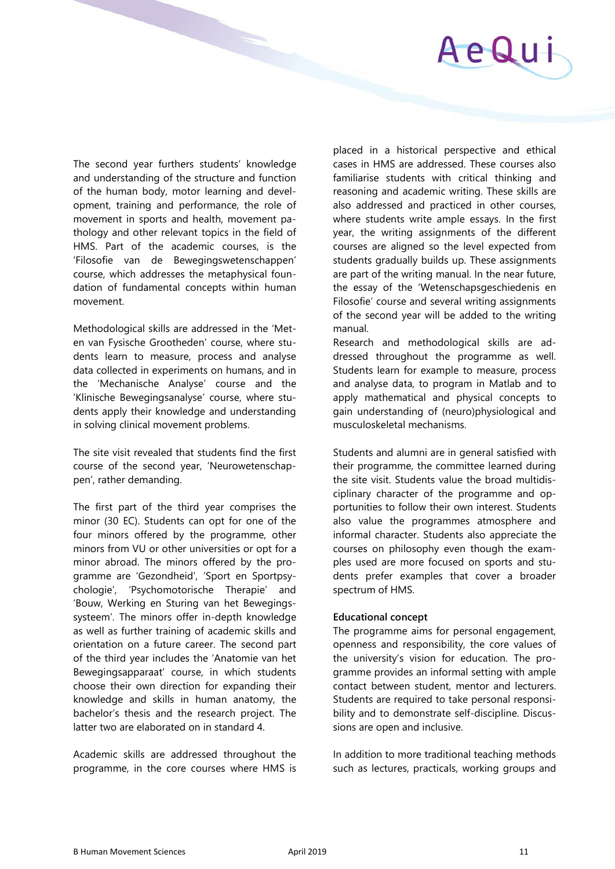

The second year furthers students' knowledge and understanding of the structure and function of the human body, motor learning and development, training and performance, the role of movement in sports and health, movement pathology and other relevant topics in the field of HMS. Part of the academic courses, is the 'Filosofie van de Bewegingswetenschappen' course, which addresses the metaphysical foundation of fundamental concepts within human movement.

Methodological skills are addressed in the 'Meten van Fysische Grootheden' course, where students learn to measure, process and analyse data collected in experiments on humans, and in the 'Mechanische Analyse' course and the 'Klinische Bewegingsanalyse' course, where students apply their knowledge and understanding in solving clinical movement problems.

The site visit revealed that students find the first course of the second year, 'Neurowetenschappen', rather demanding.

The first part of the third year comprises the minor (30 EC). Students can opt for one of the four minors offered by the programme, other minors from VU or other universities or opt for a minor abroad. The minors offered by the programme are 'Gezondheid', 'Sport en Sportpsychologie', 'Psychomotorische Therapie' and 'Bouw, Werking en Sturing van het Bewegingssysteem'. The minors offer in-depth knowledge as well as further training of academic skills and orientation on a future career. The second part of the third year includes the 'Anatomie van het Bewegingsapparaat' course, in which students choose their own direction for expanding their knowledge and skills in human anatomy, the bachelor's thesis and the research project. The latter two are elaborated on in standard 4.

Academic skills are addressed throughout the programme, in the core courses where HMS is placed in a historical perspective and ethical cases in HMS are addressed. These courses also familiarise students with critical thinking and reasoning and academic writing. These skills are also addressed and practiced in other courses, where students write ample essays. In the first year, the writing assignments of the different courses are aligned so the level expected from students gradually builds up. These assignments are part of the writing manual. In the near future, the essay of the 'Wetenschapsgeschiedenis en Filosofie' course and several writing assignments of the second year will be added to the writing manual.

Research and methodological skills are addressed throughout the programme as well. Students learn for example to measure, process and analyse data, to program in Matlab and to apply mathematical and physical concepts to gain understanding of (neuro)physiological and musculoskeletal mechanisms.

Students and alumni are in general satisfied with their programme, the committee learned during the site visit. Students value the broad multidisciplinary character of the programme and opportunities to follow their own interest. Students also value the programmes atmosphere and informal character. Students also appreciate the courses on philosophy even though the examples used are more focused on sports and students prefer examples that cover a broader spectrum of HMS.

#### **Educational concept**

The programme aims for personal engagement, openness and responsibility, the core values of the university's vision for education. The programme provides an informal setting with ample contact between student, mentor and lecturers. Students are required to take personal responsibility and to demonstrate self-discipline. Discussions are open and inclusive.

In addition to more traditional teaching methods such as lectures, practicals, working groups and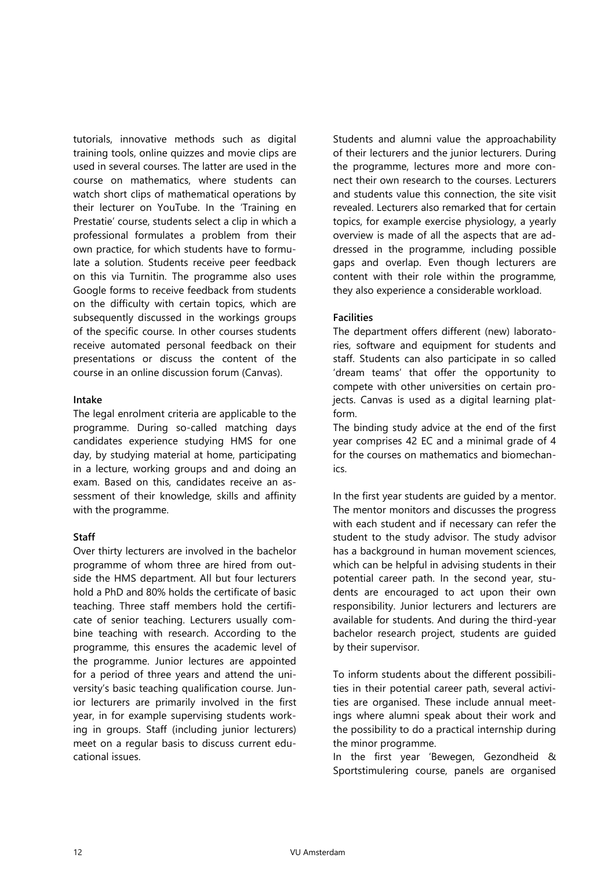tutorials, innovative methods such as digital training tools, online quizzes and movie clips are used in several courses. The latter are used in the course on mathematics, where students can watch short clips of mathematical operations by their lecturer on YouTube. In the 'Training en Prestatie' course, students select a clip in which a professional formulates a problem from their own practice, for which students have to formulate a solution. Students receive peer feedback on this via Turnitin. The programme also uses Google forms to receive feedback from students on the difficulty with certain topics, which are subsequently discussed in the workings groups of the specific course. In other courses students receive automated personal feedback on their presentations or discuss the content of the course in an online discussion forum (Canvas).

#### **Intake**

The legal enrolment criteria are applicable to the programme. During so-called matching days candidates experience studying HMS for one day, by studying material at home, participating in a lecture, working groups and and doing an exam. Based on this, candidates receive an assessment of their knowledge, skills and affinity with the programme.

#### **Staff**

Over thirty lecturers are involved in the bachelor programme of whom three are hired from outside the HMS department. All but four lecturers hold a PhD and 80% holds the certificate of basic teaching. Three staff members hold the certificate of senior teaching. Lecturers usually combine teaching with research. According to the programme, this ensures the academic level of the programme. Junior lectures are appointed for a period of three years and attend the university's basic teaching qualification course. Junior lecturers are primarily involved in the first year, in for example supervising students working in groups. Staff (including junior lecturers) meet on a regular basis to discuss current educational issues.

Students and alumni value the approachability of their lecturers and the junior lecturers. During the programme, lectures more and more connect their own research to the courses. Lecturers and students value this connection, the site visit revealed. Lecturers also remarked that for certain topics, for example exercise physiology, a yearly overview is made of all the aspects that are addressed in the programme, including possible gaps and overlap. Even though lecturers are content with their role within the programme, they also experience a considerable workload.

#### **Facilities**

The department offers different (new) laboratories, software and equipment for students and staff. Students can also participate in so called 'dream teams' that offer the opportunity to compete with other universities on certain projects. Canvas is used as a digital learning platform.

The binding study advice at the end of the first year comprises 42 EC and a minimal grade of 4 for the courses on mathematics and biomechanics.

In the first year students are guided by a mentor. The mentor monitors and discusses the progress with each student and if necessary can refer the student to the study advisor. The study advisor has a background in human movement sciences, which can be helpful in advising students in their potential career path. In the second year, students are encouraged to act upon their own responsibility. Junior lecturers and lecturers are available for students. And during the third-year bachelor research project, students are guided by their supervisor.

To inform students about the different possibilities in their potential career path, several activities are organised. These include annual meetings where alumni speak about their work and the possibility to do a practical internship during the minor programme.

In the first year 'Bewegen, Gezondheid & Sportstimulering course, panels are organised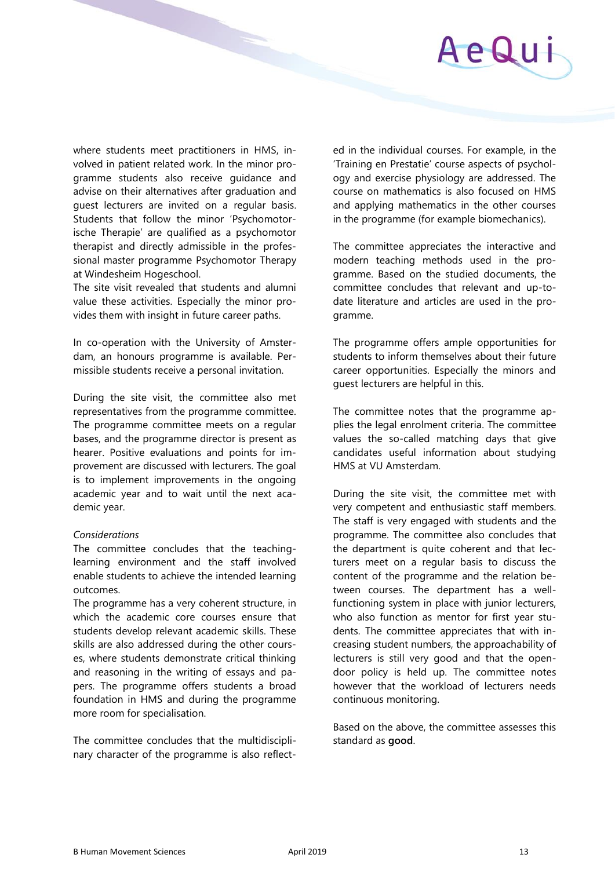

where students meet practitioners in HMS, involved in patient related work. In the minor programme students also receive guidance and advise on their alternatives after graduation and guest lecturers are invited on a regular basis. Students that follow the minor 'Psychomotorische Therapie' are qualified as a psychomotor therapist and directly admissible in the professional master programme Psychomotor Therapy at Windesheim Hogeschool.

The site visit revealed that students and alumni value these activities. Especially the minor provides them with insight in future career paths.

In co-operation with the University of Amsterdam, an honours programme is available. Permissible students receive a personal invitation.

During the site visit, the committee also met representatives from the programme committee. The programme committee meets on a regular bases, and the programme director is present as hearer. Positive evaluations and points for improvement are discussed with lecturers. The goal is to implement improvements in the ongoing academic year and to wait until the next academic year.

#### *Considerations*

The committee concludes that the teachinglearning environment and the staff involved enable students to achieve the intended learning outcomes.

The programme has a very coherent structure, in which the academic core courses ensure that students develop relevant academic skills. These skills are also addressed during the other courses, where students demonstrate critical thinking and reasoning in the writing of essays and papers. The programme offers students a broad foundation in HMS and during the programme more room for specialisation.

The committee concludes that the multidisciplinary character of the programme is also reflected in the individual courses. For example, in the 'Training en Prestatie' course aspects of psychology and exercise physiology are addressed. The course on mathematics is also focused on HMS and applying mathematics in the other courses in the programme (for example biomechanics).

The committee appreciates the interactive and modern teaching methods used in the programme. Based on the studied documents, the committee concludes that relevant and up-todate literature and articles are used in the programme.

The programme offers ample opportunities for students to inform themselves about their future career opportunities. Especially the minors and guest lecturers are helpful in this.

The committee notes that the programme applies the legal enrolment criteria. The committee values the so-called matching days that give candidates useful information about studying HMS at VU Amsterdam.

During the site visit, the committee met with very competent and enthusiastic staff members. The staff is very engaged with students and the programme. The committee also concludes that the department is quite coherent and that lecturers meet on a regular basis to discuss the content of the programme and the relation between courses. The department has a wellfunctioning system in place with junior lecturers, who also function as mentor for first year students. The committee appreciates that with increasing student numbers, the approachability of lecturers is still very good and that the opendoor policy is held up. The committee notes however that the workload of lecturers needs continuous monitoring.

Based on the above, the committee assesses this standard as **good**.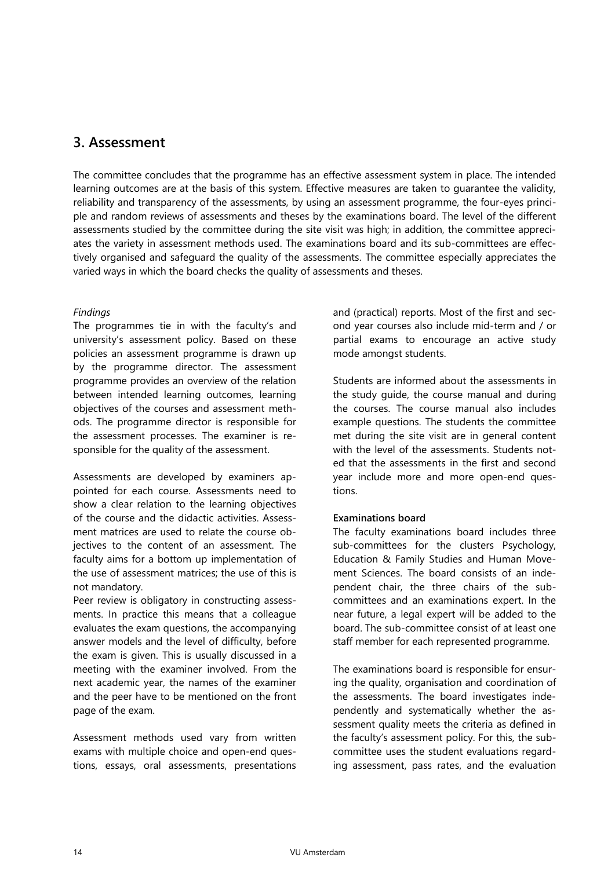## **3. Assessment**

The committee concludes that the programme has an effective assessment system in place. The intended learning outcomes are at the basis of this system. Effective measures are taken to guarantee the validity, reliability and transparency of the assessments, by using an assessment programme, the four-eyes principle and random reviews of assessments and theses by the examinations board. The level of the different assessments studied by the committee during the site visit was high; in addition, the committee appreciates the variety in assessment methods used. The examinations board and its sub-committees are effectively organised and safeguard the quality of the assessments. The committee especially appreciates the varied ways in which the board checks the quality of assessments and theses.

#### *Findings*

The programmes tie in with the faculty's and university's assessment policy. Based on these policies an assessment programme is drawn up by the programme director. The assessment programme provides an overview of the relation between intended learning outcomes, learning objectives of the courses and assessment methods. The programme director is responsible for the assessment processes. The examiner is responsible for the quality of the assessment.

Assessments are developed by examiners appointed for each course. Assessments need to show a clear relation to the learning objectives of the course and the didactic activities. Assessment matrices are used to relate the course objectives to the content of an assessment. The faculty aims for a bottom up implementation of the use of assessment matrices; the use of this is not mandatory.

Peer review is obligatory in constructing assessments. In practice this means that a colleague evaluates the exam questions, the accompanying answer models and the level of difficulty, before the exam is given. This is usually discussed in a meeting with the examiner involved. From the next academic year, the names of the examiner and the peer have to be mentioned on the front page of the exam.

Assessment methods used vary from written exams with multiple choice and open-end questions, essays, oral assessments, presentations

and (practical) reports. Most of the first and second year courses also include mid-term and / or partial exams to encourage an active study mode amongst students.

Students are informed about the assessments in the study guide, the course manual and during the courses. The course manual also includes example questions. The students the committee met during the site visit are in general content with the level of the assessments. Students noted that the assessments in the first and second year include more and more open-end questions.

#### **Examinations board**

The faculty examinations board includes three sub-committees for the clusters Psychology, Education & Family Studies and Human Movement Sciences. The board consists of an independent chair, the three chairs of the subcommittees and an examinations expert. In the near future, a legal expert will be added to the board. The sub-committee consist of at least one staff member for each represented programme.

The examinations board is responsible for ensuring the quality, organisation and coordination of the assessments. The board investigates independently and systematically whether the assessment quality meets the criteria as defined in the faculty's assessment policy. For this, the subcommittee uses the student evaluations regarding assessment, pass rates, and the evaluation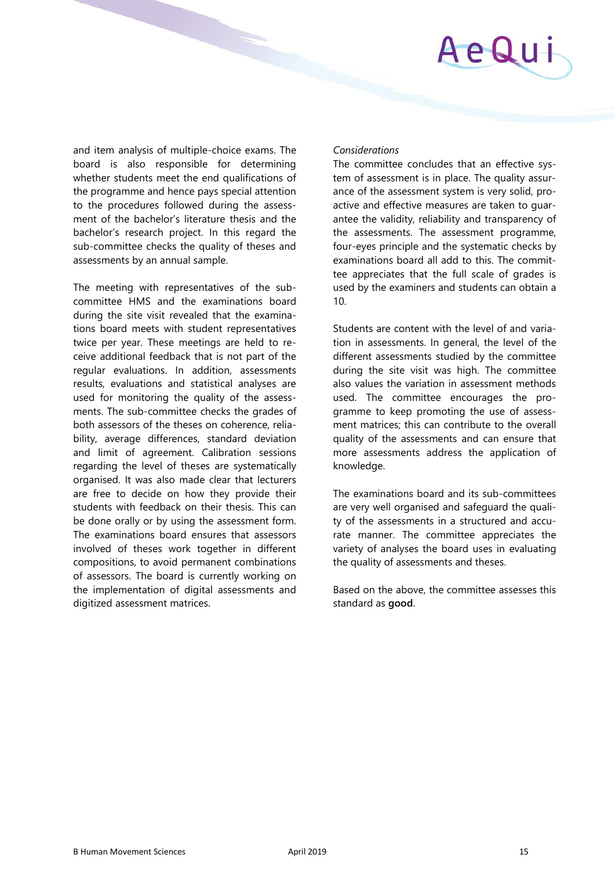# AeQu

and item analysis of multiple-choice exams. The board is also responsible for determining whether students meet the end qualifications of the programme and hence pays special attention to the procedures followed during the assessment of the bachelor's literature thesis and the bachelor's research project. In this regard the sub-committee checks the quality of theses and assessments by an annual sample.

The meeting with representatives of the subcommittee HMS and the examinations board during the site visit revealed that the examinations board meets with student representatives twice per year. These meetings are held to receive additional feedback that is not part of the regular evaluations. In addition, assessments results, evaluations and statistical analyses are used for monitoring the quality of the assessments. The sub-committee checks the grades of both assessors of the theses on coherence, reliability, average differences, standard deviation and limit of agreement. Calibration sessions regarding the level of theses are systematically organised. It was also made clear that lecturers are free to decide on how they provide their students with feedback on their thesis. This can be done orally or by using the assessment form. The examinations board ensures that assessors involved of theses work together in different compositions, to avoid permanent combinations of assessors. The board is currently working on the implementation of digital assessments and digitized assessment matrices.

#### *Considerations*

The committee concludes that an effective system of assessment is in place. The quality assurance of the assessment system is very solid, proactive and effective measures are taken to guarantee the validity, reliability and transparency of the assessments. The assessment programme, four-eyes principle and the systematic checks by examinations board all add to this. The committee appreciates that the full scale of grades is used by the examiners and students can obtain a 10.

Students are content with the level of and variation in assessments. In general, the level of the different assessments studied by the committee during the site visit was high. The committee also values the variation in assessment methods used. The committee encourages the programme to keep promoting the use of assessment matrices; this can contribute to the overall quality of the assessments and can ensure that more assessments address the application of knowledge.

The examinations board and its sub-committees are very well organised and safeguard the quality of the assessments in a structured and accurate manner. The committee appreciates the variety of analyses the board uses in evaluating the quality of assessments and theses.

Based on the above, the committee assesses this standard as **good**.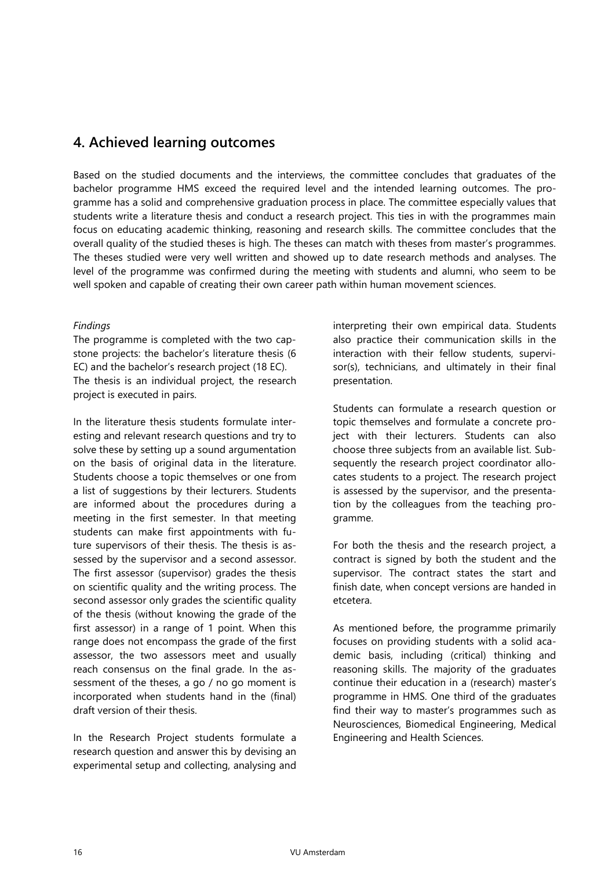## **4. Achieved learning outcomes**

Based on the studied documents and the interviews, the committee concludes that graduates of the bachelor programme HMS exceed the required level and the intended learning outcomes. The programme has a solid and comprehensive graduation process in place. The committee especially values that students write a literature thesis and conduct a research project. This ties in with the programmes main focus on educating academic thinking, reasoning and research skills. The committee concludes that the overall quality of the studied theses is high. The theses can match with theses from master's programmes. The theses studied were very well written and showed up to date research methods and analyses. The level of the programme was confirmed during the meeting with students and alumni, who seem to be well spoken and capable of creating their own career path within human movement sciences.

#### *Findings*

The programme is completed with the two capstone projects: the bachelor's literature thesis (6 EC) and the bachelor's research project (18 EC). The thesis is an individual project, the research project is executed in pairs.

In the literature thesis students formulate interesting and relevant research questions and try to solve these by setting up a sound argumentation on the basis of original data in the literature. Students choose a topic themselves or one from a list of suggestions by their lecturers. Students are informed about the procedures during a meeting in the first semester. In that meeting students can make first appointments with future supervisors of their thesis. The thesis is assessed by the supervisor and a second assessor. The first assessor (supervisor) grades the thesis on scientific quality and the writing process. The second assessor only grades the scientific quality of the thesis (without knowing the grade of the first assessor) in a range of 1 point. When this range does not encompass the grade of the first assessor, the two assessors meet and usually reach consensus on the final grade. In the assessment of the theses, a go / no go moment is incorporated when students hand in the (final) draft version of their thesis.

In the Research Project students formulate a research question and answer this by devising an experimental setup and collecting, analysing and

interpreting their own empirical data. Students also practice their communication skills in the interaction with their fellow students, supervisor(s), technicians, and ultimately in their final presentation.

Students can formulate a research question or topic themselves and formulate a concrete project with their lecturers. Students can also choose three subjects from an available list. Subsequently the research project coordinator allocates students to a project. The research project is assessed by the supervisor, and the presentation by the colleagues from the teaching programme.

For both the thesis and the research project, a contract is signed by both the student and the supervisor. The contract states the start and finish date, when concept versions are handed in etcetera.

As mentioned before, the programme primarily focuses on providing students with a solid academic basis, including (critical) thinking and reasoning skills. The majority of the graduates continue their education in a (research) master's programme in HMS. One third of the graduates find their way to master's programmes such as Neurosciences, Biomedical Engineering, Medical Engineering and Health Sciences.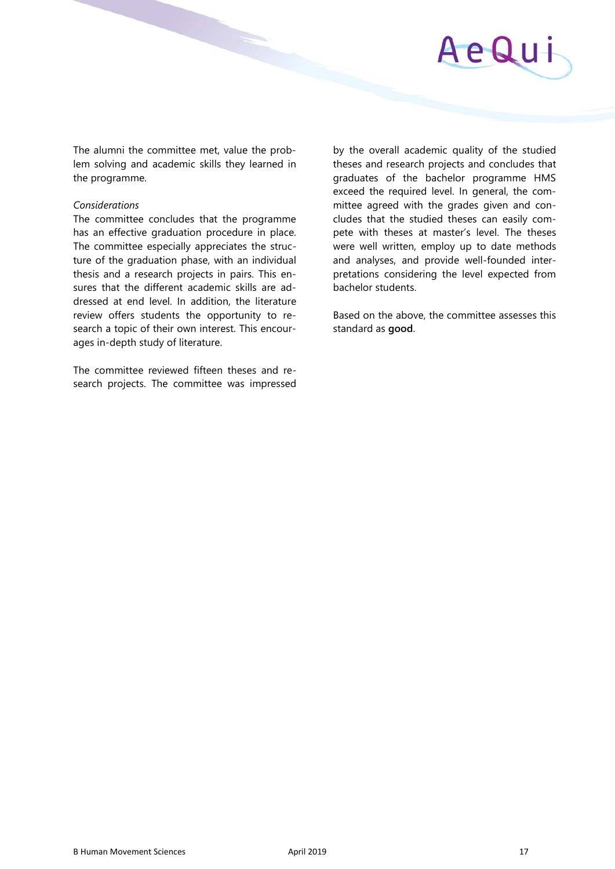

The alumni the committee met, value the problem solving and academic skills they learned in the programme.

#### *Considerations*

The committee concludes that the programme has an effective graduation procedure in place. The committee especially appreciates the structure of the graduation phase, with an individual thesis and a research projects in pairs. This ensures that the different academic skills are addressed at end level. In addition, the literature review offers students the opportunity to research a topic of their own interest. This encourages in-depth study of literature.

The committee reviewed fifteen theses and research projects. The committee was impressed by the overall academic quality of the studied theses and research projects and concludes that graduates of the bachelor programme HMS exceed the required level. In general, the committee agreed with the grades given and concludes that the studied theses can easily compete with theses at master's level. The theses were well written, employ up to date methods and analyses, and provide well-founded interpretations considering the level expected from bachelor students.

Based on the above, the committee assesses this standard as **good**.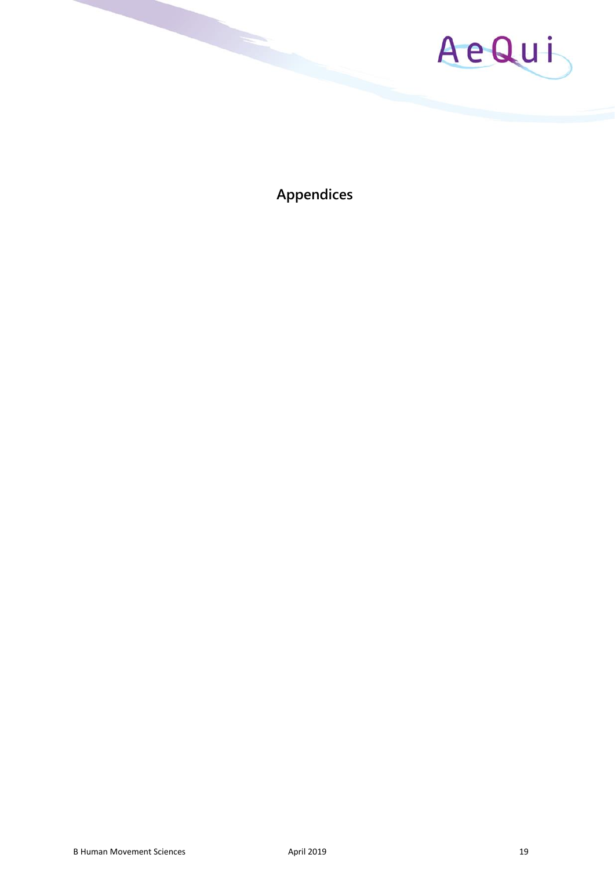

**Appendices**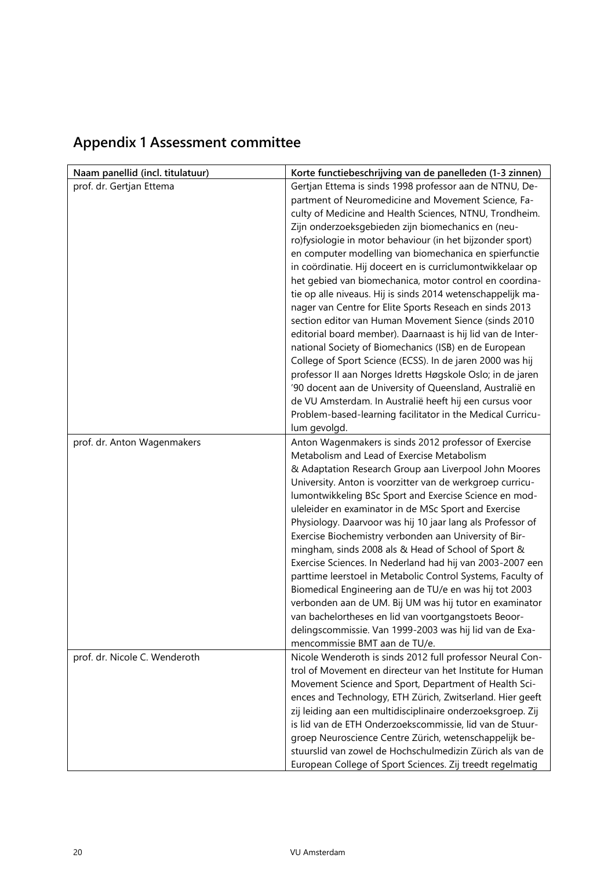| Naam panellid (incl. titulatuur) | Korte functiebeschrijving van de panelleden (1-3 zinnen)    |
|----------------------------------|-------------------------------------------------------------|
| prof. dr. Gertjan Ettema         | Gertjan Ettema is sinds 1998 professor aan de NTNU, De-     |
|                                  | partment of Neuromedicine and Movement Science, Fa-         |
|                                  | culty of Medicine and Health Sciences, NTNU, Trondheim.     |
|                                  | Zijn onderzoeksgebieden zijn biomechanics en (neu-          |
|                                  | ro)fysiologie in motor behaviour (in het bijzonder sport)   |
|                                  | en computer modelling van biomechanica en spierfunctie      |
|                                  | in coördinatie. Hij doceert en is curriclumontwikkelaar op  |
|                                  | het gebied van biomechanica, motor control en coordina-     |
|                                  | tie op alle niveaus. Hij is sinds 2014 wetenschappelijk ma- |
|                                  | nager van Centre for Elite Sports Reseach en sinds 2013     |
|                                  | section editor van Human Movement Sience (sinds 2010        |
|                                  | editorial board member). Daarnaast is hij lid van de Inter- |
|                                  | national Society of Biomechanics (ISB) en de European       |
|                                  | College of Sport Science (ECSS). In de jaren 2000 was hij   |
|                                  | professor II aan Norges Idretts Høgskole Oslo; in de jaren  |
|                                  | '90 docent aan de University of Queensland, Australië en    |
|                                  | de VU Amsterdam. In Australië heeft hij een cursus voor     |
|                                  | Problem-based-learning facilitator in the Medical Curricu-  |
|                                  | lum gevolgd.                                                |
| prof. dr. Anton Wagenmakers      | Anton Wagenmakers is sinds 2012 professor of Exercise       |
|                                  | Metabolism and Lead of Exercise Metabolism                  |
|                                  | & Adaptation Research Group aan Liverpool John Moores       |
|                                  | University. Anton is voorzitter van de werkgroep curricu-   |
|                                  | lumontwikkeling BSc Sport and Exercise Science en mod-      |
|                                  | uleleider en examinator in de MSc Sport and Exercise        |
|                                  | Physiology. Daarvoor was hij 10 jaar lang als Professor of  |
|                                  | Exercise Biochemistry verbonden aan University of Bir-      |
|                                  | mingham, sinds 2008 als & Head of School of Sport &         |
|                                  | Exercise Sciences. In Nederland had hij van 2003-2007 een   |
|                                  | parttime leerstoel in Metabolic Control Systems, Faculty of |
|                                  | Biomedical Engineering aan de TU/e en was hij tot 2003      |
|                                  | verbonden aan de UM. Bij UM was hij tutor en examinator     |
|                                  | van bachelortheses en lid van voortgangstoets Beoor-        |
|                                  | delingscommissie. Van 1999-2003 was hij lid van de Exa-     |
|                                  | mencommissie BMT aan de TU/e.                               |
| prof. dr. Nicole C. Wenderoth    | Nicole Wenderoth is sinds 2012 full professor Neural Con-   |
|                                  | trol of Movement en directeur van het Institute for Human   |
|                                  | Movement Science and Sport, Department of Health Sci-       |
|                                  | ences and Technology, ETH Zürich, Zwitserland. Hier geeft   |
|                                  | zij leiding aan een multidisciplinaire onderzoeksgroep. Zij |
|                                  | is lid van de ETH Onderzoekscommissie, lid van de Stuur-    |
|                                  | groep Neuroscience Centre Zürich, wetenschappelijk be-      |
|                                  | stuurslid van zowel de Hochschulmedizin Zürich als van de   |
|                                  | European College of Sport Sciences. Zij treedt regelmatig   |

# **Appendix 1 Assessment committee**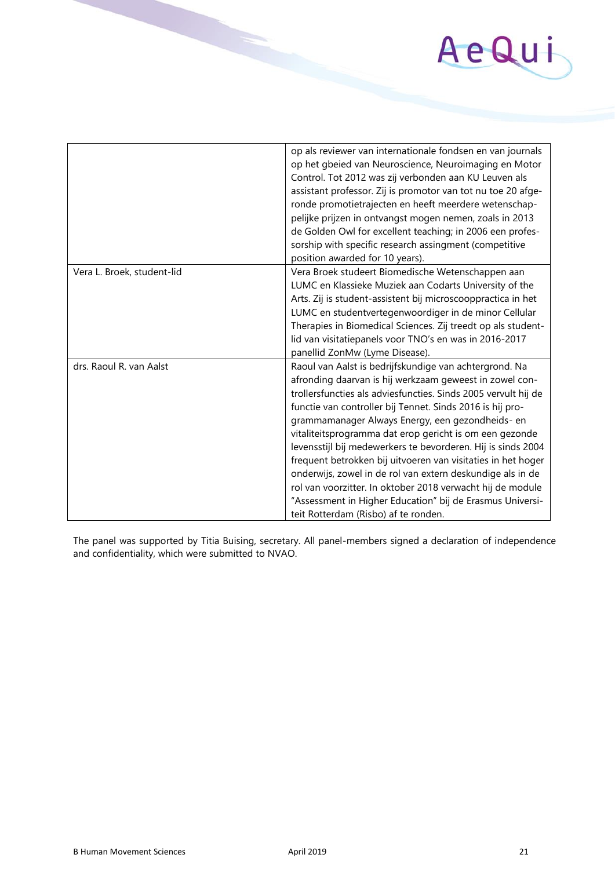# AeQui

|                            | op als reviewer van internationale fondsen en van journals<br>op het gbeied van Neuroscience, Neuroimaging en Motor<br>Control. Tot 2012 was zij verbonden aan KU Leuven als<br>assistant professor. Zij is promotor van tot nu toe 20 afge-<br>ronde promotietrajecten en heeft meerdere wetenschap-<br>pelijke prijzen in ontvangst mogen nemen, zoals in 2013<br>de Golden Owl for excellent teaching; in 2006 een profes-<br>sorship with specific research assingment (competitive                                                                                                                                                                                                                                          |
|----------------------------|----------------------------------------------------------------------------------------------------------------------------------------------------------------------------------------------------------------------------------------------------------------------------------------------------------------------------------------------------------------------------------------------------------------------------------------------------------------------------------------------------------------------------------------------------------------------------------------------------------------------------------------------------------------------------------------------------------------------------------|
|                            | position awarded for 10 years).                                                                                                                                                                                                                                                                                                                                                                                                                                                                                                                                                                                                                                                                                                  |
| Vera L. Broek, student-lid | Vera Broek studeert Biomedische Wetenschappen aan<br>LUMC en Klassieke Muziek aan Codarts University of the<br>Arts. Zij is student-assistent bij microscooppractica in het<br>LUMC en studentvertegenwoordiger in de minor Cellular<br>Therapies in Biomedical Sciences. Zij treedt op als student-<br>lid van visitatiepanels voor TNO's en was in 2016-2017<br>panellid ZonMw (Lyme Disease).                                                                                                                                                                                                                                                                                                                                 |
| drs. Raoul R. van Aalst    | Raoul van Aalst is bedrijfskundige van achtergrond. Na<br>afronding daarvan is hij werkzaam geweest in zowel con-<br>trollersfuncties als adviesfuncties. Sinds 2005 vervult hij de<br>functie van controller bij Tennet. Sinds 2016 is hij pro-<br>grammamanager Always Energy, een gezondheids- en<br>vitaliteitsprogramma dat erop gericht is om een gezonde<br>levensstijl bij medewerkers te bevorderen. Hij is sinds 2004<br>frequent betrokken bij uitvoeren van visitaties in het hoger<br>onderwijs, zowel in de rol van extern deskundige als in de<br>rol van voorzitter. In oktober 2018 verwacht hij de module<br>"Assessment in Higher Education" bij de Erasmus Universi-<br>teit Rotterdam (Risbo) af te ronden. |

The panel was supported by Titia Buising, secretary. All panel-members signed a declaration of independence and confidentiality, which were submitted to NVAO.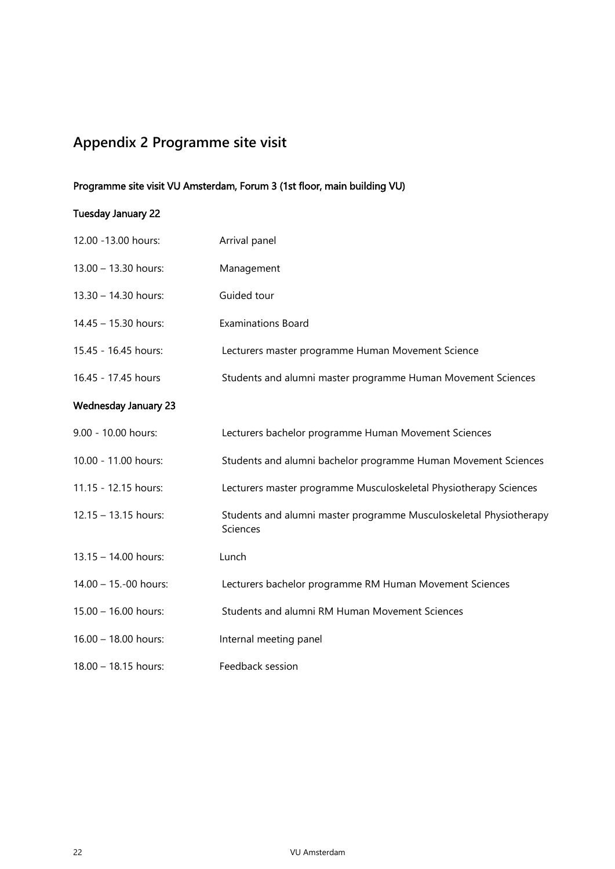# **Appendix 2 Programme site visit**

#### Programme site visit VU Amsterdam, Forum 3 (1st floor, main building VU)

### Tuesday January 22

| 12.00 - 13.00 hours:        | Arrival panel                                                                  |
|-----------------------------|--------------------------------------------------------------------------------|
| 13.00 - 13.30 hours:        | Management                                                                     |
| 13.30 - 14.30 hours:        | Guided tour                                                                    |
| 14.45 - 15.30 hours:        | <b>Examinations Board</b>                                                      |
| 15.45 - 16.45 hours:        | Lecturers master programme Human Movement Science                              |
| 16.45 - 17.45 hours         | Students and alumni master programme Human Movement Sciences                   |
| <b>Wednesday January 23</b> |                                                                                |
| 9.00 - 10.00 hours:         | Lecturers bachelor programme Human Movement Sciences                           |
| 10.00 - 11.00 hours:        | Students and alumni bachelor programme Human Movement Sciences                 |
| 11.15 - 12.15 hours:        | Lecturers master programme Musculoskeletal Physiotherapy Sciences              |
| 12.15 - 13.15 hours:        | Students and alumni master programme Musculoskeletal Physiotherapy<br>Sciences |
| 13.15 - 14.00 hours:        | Lunch                                                                          |
| 14.00 - 15.-00 hours:       | Lecturers bachelor programme RM Human Movement Sciences                        |
| 15.00 - 16.00 hours:        | Students and alumni RM Human Movement Sciences                                 |
| $16.00 - 18.00$ hours:      | Internal meeting panel                                                         |
| 18.00 - 18.15 hours:        | Feedback session                                                               |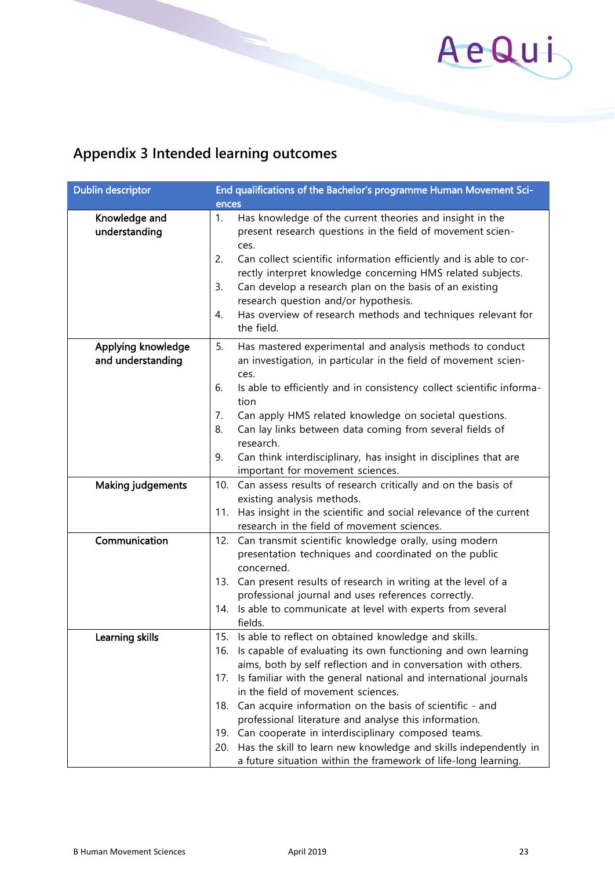

# **Appendix 3 Intended learning outcomes**

| <b>Dublin descriptor</b>       | End qualifications of the Bachelor's programme Human Movement Sci-                                                                                                                                                                                                                                                                                                                                                                                                           |
|--------------------------------|------------------------------------------------------------------------------------------------------------------------------------------------------------------------------------------------------------------------------------------------------------------------------------------------------------------------------------------------------------------------------------------------------------------------------------------------------------------------------|
|                                | ences                                                                                                                                                                                                                                                                                                                                                                                                                                                                        |
| Knowledge and<br>understanding | 1.<br>Has knowledge of the current theories and insight in the<br>present research questions in the field of movement scien-<br>ces.<br>Can collect scientific information efficiently and is able to cor-<br>2.<br>rectly interpret knowledge concerning HMS related subjects.<br>Can develop a research plan on the basis of an existing<br>3.<br>research question and/or hypothesis.<br>Has overview of research methods and techniques relevant for<br>4.<br>the field. |
| Applying knowledge             | 5.<br>Has mastered experimental and analysis methods to conduct                                                                                                                                                                                                                                                                                                                                                                                                              |
| and understanding              | an investigation, in particular in the field of movement scien-                                                                                                                                                                                                                                                                                                                                                                                                              |
|                                | ces.<br>6.<br>Is able to efficiently and in consistency collect scientific informa-<br>tion                                                                                                                                                                                                                                                                                                                                                                                  |
|                                | Can apply HMS related knowledge on societal questions.<br>7.                                                                                                                                                                                                                                                                                                                                                                                                                 |
|                                | Can lay links between data coming from several fields of<br>8.<br>research.                                                                                                                                                                                                                                                                                                                                                                                                  |
|                                | Can think interdisciplinary, has insight in disciplines that are<br>9.<br>important for movement sciences.                                                                                                                                                                                                                                                                                                                                                                   |
| <b>Making judgements</b>       | Can assess results of research critically and on the basis of<br>10.                                                                                                                                                                                                                                                                                                                                                                                                         |
|                                | existing analysis methods.                                                                                                                                                                                                                                                                                                                                                                                                                                                   |
|                                | 11. Has insight in the scientific and social relevance of the current<br>research in the field of movement sciences.                                                                                                                                                                                                                                                                                                                                                         |
| Communication                  | Can transmit scientific knowledge orally, using modern<br>12.<br>presentation techniques and coordinated on the public<br>concerned.<br>Can present results of research in writing at the level of a<br>13.<br>professional journal and uses references correctly.<br>Is able to communicate at level with experts from several<br>14.<br>fields.                                                                                                                            |
| Learning skills                | Is able to reflect on obtained knowledge and skills.<br>15.                                                                                                                                                                                                                                                                                                                                                                                                                  |
|                                | 16. Is capable of evaluating its own functioning and own learning                                                                                                                                                                                                                                                                                                                                                                                                            |
|                                | aims, both by self reflection and in conversation with others.<br>Is familiar with the general national and international journals<br>17.                                                                                                                                                                                                                                                                                                                                    |
|                                | in the field of movement sciences.                                                                                                                                                                                                                                                                                                                                                                                                                                           |
|                                | Can acquire information on the basis of scientific - and<br>18.                                                                                                                                                                                                                                                                                                                                                                                                              |
|                                | professional literature and analyse this information.                                                                                                                                                                                                                                                                                                                                                                                                                        |
|                                | Can cooperate in interdisciplinary composed teams.<br>19.                                                                                                                                                                                                                                                                                                                                                                                                                    |
|                                | 20. Has the skill to learn new knowledge and skills independently in<br>a future situation within the framework of life-long learning.                                                                                                                                                                                                                                                                                                                                       |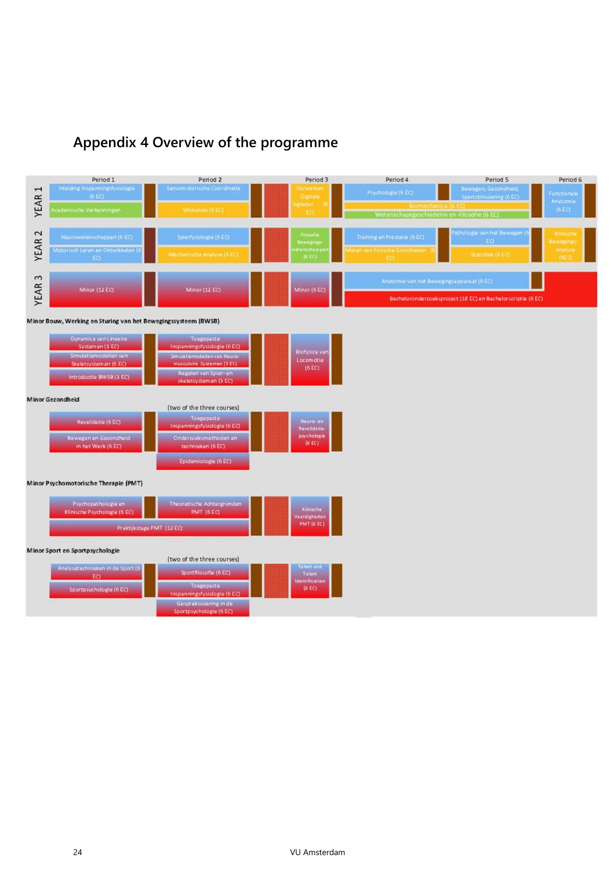# **Appendix 4 Overview of the programme**